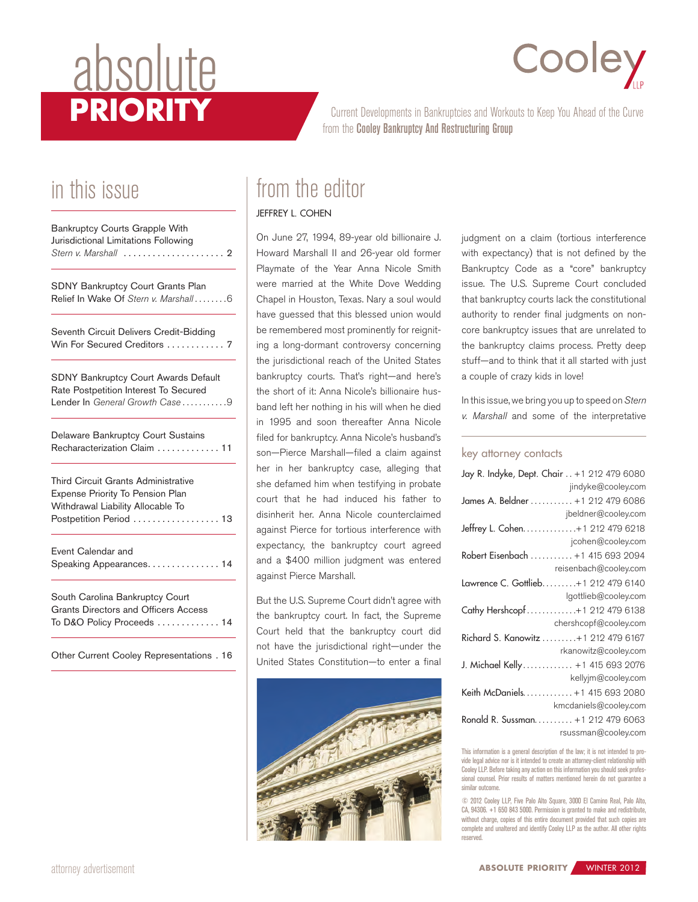# absolute<br>PRIORITY

## Cooley

Current Developments in Bankruptcies and Workouts to Keep You Ahead of the Curve from the Cooley Bankruptcy And Restructuring Group

## in this issue

| Bankruptcy Courts Grapple With<br>Jurisdictional Limitations Following<br>Stern v. Marshall $\ldots, \ldots, \ldots, \ldots, 2$         |
|-----------------------------------------------------------------------------------------------------------------------------------------|
| <b>SDNY Bankruptcy Court Grants Plan</b><br>Relief In Wake Of Stern v. Marshall 6                                                       |
| Seventh Circuit Delivers Credit-Bidding<br>Win For Secured Creditors  7                                                                 |
| <b>SDNY Bankruptcy Court Awards Default</b><br>Rate Postpetition Interest To Secured<br>Lender In General Growth Case 9                 |
| Delaware Bankruptcy Court Sustains<br>Recharacterization Claim  11                                                                      |
| Third Circuit Grants Administrative<br>Expense Priority To Pension Plan<br>Withdrawal Liability Allocable To<br>Postpetition Period  13 |
| Event Calendar and<br>Speaking Appearances. 14                                                                                          |
| South Carolina Bankruptcy Court<br><b>Grants Directors and Officers Access</b><br>To D&O Policy Proceeds  14                            |
| Other Current Cooley Representations . 16                                                                                               |

## from the editor

#### [Jeffrey L. cohen](http://www.cooley.com/jcohen)

On June 27, 1994, 89-year old billionaire J. Howard Marshall II and 26-year old former Playmate of the Year Anna Nicole Smith were married at the White Dove Wedding Chapel in Houston, Texas. Nary a soul would have guessed that this blessed union would be remembered most prominently for reigniting a long-dormant controversy concerning the jurisdictional reach of the United States bankruptcy courts. That's right—and here's the short of it: Anna Nicole's billionaire husband left her nothing in his will when he died in 1995 and soon thereafter Anna Nicole filed for bankruptcy. Anna Nicole's husband's son—Pierce Marshall—filed a claim against her in her bankruptcy case, alleging that she defamed him when testifying in probate court that he had induced his father to disinherit her. Anna Nicole counterclaimed against Pierce for tortious interference with expectancy, the bankruptcy court agreed and a \$400 million judgment was entered against Pierce Marshall.

But the U.S. Supreme Court didn't agree with the bankruptcy court. In fact, the Supreme Court held that the bankruptcy court did not have the jurisdictional right—under the United States Constitution—to enter a final



judgment on a claim (tortious interference with expectancy) that is not defined by the Bankruptcy Code as a "core" bankruptcy issue. The U.S. Supreme Court concluded that bankruptcy courts lack the constitutional authority to render final judgments on noncore bankruptcy issues that are unrelated to the bankruptcy claims process. Pretty deep stuff—and to think that it all started with just a couple of crazy kids in love!

In this issue, we bring you up to speed on *Stern v. Marshall* and some of the interpretative

#### key attorney contacts

| Jay R. Indyke, Dept. Chair +1 212 479 6080 |  |  |  |
|--------------------------------------------|--|--|--|
| jindyke@cooley.com                         |  |  |  |
| James A. Beldner  +1 212 479 6086          |  |  |  |
| jbeldner@cooley.com                        |  |  |  |
| Jeffrey L. Cohen. 41 212 479 6218          |  |  |  |
| jcohen@cooley.com                          |  |  |  |
| Robert Eisenbach  +1 415 693 2094          |  |  |  |
| reisenbach@cooley.com                      |  |  |  |
| Lawrence C. Gottlieb+1 212 479 6140        |  |  |  |
| lgottlieb@cooley.com                       |  |  |  |
| Cathy Hershcopf+1 212 479 6138             |  |  |  |
| chershcopf@cooley.com                      |  |  |  |
| Richard S. Kanowitz  +1 212 479 6167       |  |  |  |
| rkanowitz@cooley.com                       |  |  |  |
| J. Michael Kelly +1 415 693 2076           |  |  |  |
| kellyjm@cooley.com                         |  |  |  |
| Keith McDaniels +1 415 693 2080            |  |  |  |
| kmcdaniels@cooley.com                      |  |  |  |
| Ronald R. Sussman. +1 212 479 6063         |  |  |  |
| rsussman@cooley.com                        |  |  |  |

This information is a general description of the law; it is not intended to provide legal advice nor is it intended to create an attorney-client relationship with Cooley LLP. Before taking any action on this information you should seek professional counsel. Prior results of matters mentioned herein do not guarantee a similar outcome.

© 2012 Cooley LLP, Five Palo Alto Square, 3000 El Camino Real, Palo Alto, CA, 94306. +1 650 843 5000. Permission is granted to make and redistribute, without charge, copies of this entire document provided that such copies are complete and unaltered and identify Cooley LLP as the author. All other rights reserved.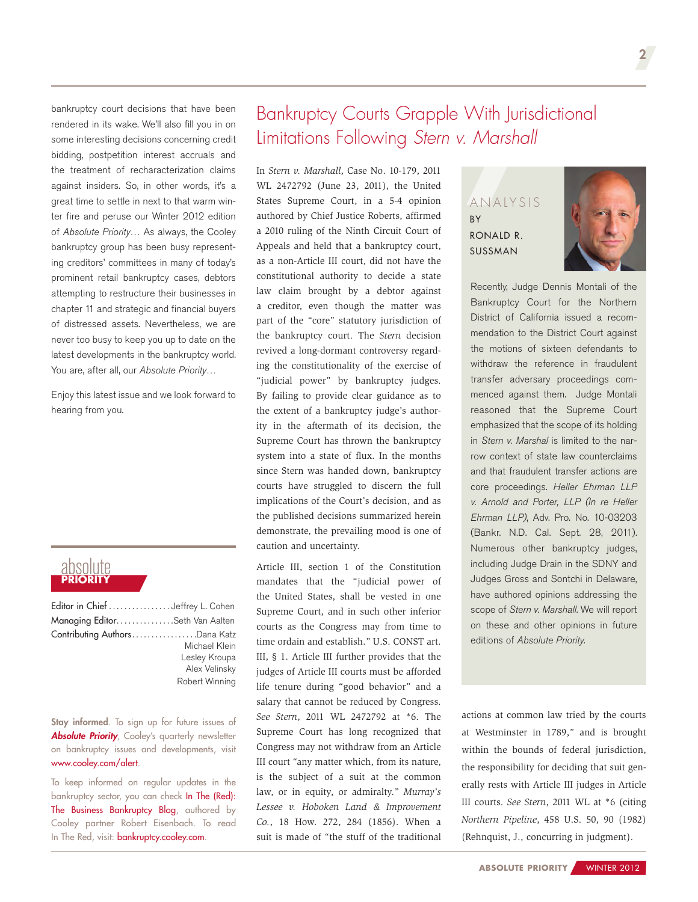<span id="page-1-0"></span>bankruptcy court decisions that have been rendered in its wake. We'll also fill you in on some interesting decisions concerning credit bidding, postpetition interest accruals and the treatment of recharacterization claims against insiders. So, in other words, it's a great time to settle in next to that warm winter fire and peruse our Winter 2012 edition of *Absolute Priority*… As always, the Cooley bankruptcy group has been busy representing creditors' committees in many of today's prominent retail bankruptcy cases, debtors attempting to restructure their businesses in chapter 11 and strategic and financial buyers of distressed assets. Nevertheless, we are never too busy to keep you up to date on the latest developments in the bankruptcy world. You are, after all, our *Absolute Priority*…

Enjoy this latest issue and we look forward to hearing from you.

## absolute **PRIORITY**

| Editor in Chief Jeffrey L. Cohen |                |
|----------------------------------|----------------|
| Managing EditorSeth Van Aalten   |                |
| Contributing AuthorsDana Katz    |                |
|                                  | Michael Klein  |
|                                  | Lesley Kroupa  |
|                                  | Alex Velinsky  |
|                                  | Robert Winning |

Stay informed. To sign up for future issues of *Absolute Priority*, Cooley's quarterly newsletter on bankruptcy issues and developments, visit [www.cooley.com/alert.](http://www.cooley.com/alert)

To keep informed on regular updates in the bankruptcy sector, you can check In The (Red): The Business Bankruptcy Blog, authored by Cooley partner Robert Eisenbach. To read In The Red, visit: [bankruptcy.cooley.com](http://www.bankruptcy.cooley.com/).

## Bankruptcy Courts Grapple With Jurisdictional Limitations Following *Stern v. Marshall*

In *Stern v. Marshall*, Case No. 10-179, 2011 WL 2472792 (June 23, 2011), the United States Supreme Court, in a 5-4 opinion authored by Chief Justice Roberts, affirmed a 2010 ruling of the Ninth Circuit Court of Appeals and held that a bankruptcy court, as a non-Article III court, did not have the constitutional authority to decide a state law claim brought by a debtor against a creditor, even though the matter was part of the "core" statutory jurisdiction of the bankruptcy court. The *Stern* decision revived a long-dormant controversy regarding the constitutionality of the exercise of "judicial power" by bankruptcy judges. By failing to provide clear guidance as to the extent of a bankruptcy judge's authority in the aftermath of its decision, the Supreme Court has thrown the bankruptcy system into a state of flux. In the months since Stern was handed down, bankruptcy courts have struggled to discern the full implications of the Court's decision, and as the published decisions summarized herein demonstrate, the prevailing mood is one of caution and uncertainty.

Article III, section 1 of the Constitution mandates that the "judicial power of the United States, shall be vested in one Supreme Court, and in such other inferior courts as the Congress may from time to time ordain and establish." U.S. CONST art. III, § 1. Article III further provides that the judges of Article III courts must be afforded life tenure during "good behavior" and a salary that cannot be reduced by Congress. *See Stern*, 2011 WL 2472792 at \*6. The Supreme Court has long recognized that Congress may not withdraw from an Article III court "any matter which, from its nature, is the subject of a suit at the common law, or in equity, or admiralty." *Murray's Lessee v. Hoboken Land & Improvement Co.*, 18 How. 272, 284 (1856). When a suit is made of "the stuff of the traditional

#### ANALYSIS BY [Ronald](http://www.cooley.com/rsussman) R. [Sussman](http://www.cooley.com/rsussman)



Recently, Judge Dennis Montali of the Bankruptcy Court for the Northern District of California issued a recommendation to the District Court against the motions of sixteen defendants to withdraw the reference in fraudulent transfer adversary proceedings commenced against them. Judge Montali reasoned that the Supreme Court emphasized that the scope of its holding in *Stern v. Marshal* is limited to the narrow context of state law counterclaims and that fraudulent transfer actions are core proceedings. *Heller Ehrman LLP v. Arnold and Porter, LLP (In re Heller Ehrman LLP)*, Adv. Pro. No. 10-03203 (Bankr. N.D. Cal. Sept. 28, 2011). Numerous other bankruptcy judges, including Judge Drain in the SDNY and Judges Gross and Sontchi in Delaware, have authored opinions addressing the scope of *Stern v. Marshall*. We will report on these and other opinions in future editions of *Absolute Priority.*

actions at common law tried by the courts at Westminster in 1789," and is brought within the bounds of federal jurisdiction, the responsibility for deciding that suit generally rests with Article III judges in Article III courts. *See Stern*, 2011 WL at \*6 (citing *Northern Pipeline*, 458 U.S. 50, 90 (1982) (Rehnquist, J., concurring in judgment).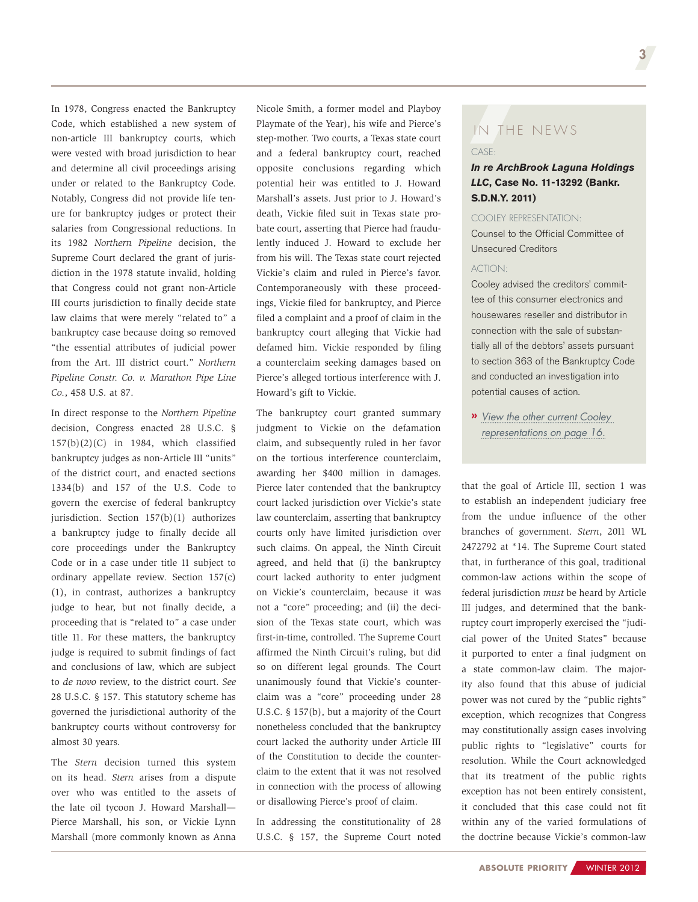In 1978, Congress enacted the Bankruptcy Code, which established a new system of non-article III bankruptcy courts, which were vested with broad jurisdiction to hear and determine all civil proceedings arising under or related to the Bankruptcy Code. Notably, Congress did not provide life tenure for bankruptcy judges or protect their salaries from Congressional reductions. In its 1982 *Northern Pipeline* decision, the Supreme Court declared the grant of jurisdiction in the 1978 statute invalid, holding that Congress could not grant non-Article III courts jurisdiction to finally decide state law claims that were merely "related to" a bankruptcy case because doing so removed "the essential attributes of judicial power from the Art. III district court." *Northern Pipeline Constr. Co. v. Marathon Pipe Line Co.*, 458 U.S. at 87.

In direct response to the *Northern Pipeline*  decision, Congress enacted 28 U.S.C. § 157(b)(2)(C) in 1984, which classified bankruptcy judges as non-Article III "units" of the district court, and enacted sections 1334(b) and 157 of the U.S. Code to govern the exercise of federal bankruptcy jurisdiction. Section 157(b)(1) authorizes a bankruptcy judge to finally decide all core proceedings under the Bankruptcy Code or in a case under title 11 subject to ordinary appellate review. Section 157(c) (1), in contrast, authorizes a bankruptcy judge to hear, but not finally decide, a proceeding that is "related to" a case under title 11. For these matters, the bankruptcy judge is required to submit findings of fact and conclusions of law, which are subject to *de novo* review, to the district court. *See*  28 U.S.C. § 157. This statutory scheme has governed the jurisdictional authority of the bankruptcy courts without controversy for almost 30 years.

The *Stern* decision turned this system on its head. *Stern* arises from a dispute over who was entitled to the assets of the late oil tycoon J. Howard Marshall— Pierce Marshall, his son, or Vickie Lynn Marshall (more commonly known as Anna

Nicole Smith, a former model and Playboy Playmate of the Year), his wife and Pierce's step-mother. Two courts, a Texas state court and a federal bankruptcy court, reached opposite conclusions regarding which potential heir was entitled to J. Howard Marshall's assets. Just prior to J. Howard's death, Vickie filed suit in Texas state probate court, asserting that Pierce had fraudulently induced J. Howard to exclude her from his will. The Texas state court rejected Vickie's claim and ruled in Pierce's favor. Contemporaneously with these proceedings, Vickie filed for bankruptcy, and Pierce filed a complaint and a proof of claim in the bankruptcy court alleging that Vickie had defamed him. Vickie responded by filing a counterclaim seeking damages based on Pierce's alleged tortious interference with J. Howard's gift to Vickie.

The bankruptcy court granted summary judgment to Vickie on the defamation claim, and subsequently ruled in her favor on the tortious interference counterclaim, awarding her \$400 million in damages. Pierce later contended that the bankruptcy court lacked jurisdiction over Vickie's state law counterclaim, asserting that bankruptcy courts only have limited jurisdiction over such claims. On appeal, the Ninth Circuit agreed, and held that (i) the bankruptcy court lacked authority to enter judgment on Vickie's counterclaim, because it was not a "core" proceeding; and (ii) the decision of the Texas state court, which was first-in-time, controlled. The Supreme Court affirmed the Ninth Circuit's ruling, but did so on different legal grounds. The Court unanimously found that Vickie's counterclaim was a "core" proceeding under 28 U.S.C. § 157(b), but a majority of the Court nonetheless concluded that the bankruptcy court lacked the authority under Article III of the Constitution to decide the counterclaim to the extent that it was not resolved in connection with the process of allowing or disallowing Pierce's proof of claim.

In addressing the constitutionality of 28 U.S.C. § 157, the Supreme Court noted

## CASE: IN THE NEWS

#### *In re ArchBrook Laguna Holdings LLC***, Case No. 11-13292 (Bankr. S.D.N.Y. 2011)**

#### Cooley representation:

Counsel to the Official Committee of Unsecured Creditors

#### ACTION:

Cooley advised the creditors' committee of this consumer electronics and housewares reseller and distributor in connection with the sale of substantially all of the debtors' assets pursuant to section 363 of the Bankruptcy Code and conducted an investigation into potential causes of action.

**»** *[View the other current Cooley](#page-15-0) [representations on page 16.](#page-15-0)*

that the goal of Article III, section 1 was to establish an independent judiciary free from the undue influence of the other branches of government. *Stern*, 2011 WL 2472792 at \*14. The Supreme Court stated that, in furtherance of this goal, traditional common-law actions within the scope of federal jurisdiction *must* be heard by Article III judges, and determined that the bankruptcy court improperly exercised the "judicial power of the United States" because it purported to enter a final judgment on a state common-law claim. The majority also found that this abuse of judicial power was not cured by the "public rights" exception, which recognizes that Congress may constitutionally assign cases involving public rights to "legislative" courts for resolution. While the Court acknowledged that its treatment of the public rights exception has not been entirely consistent, it concluded that this case could not fit within any of the varied formulations of the doctrine because Vickie's common-law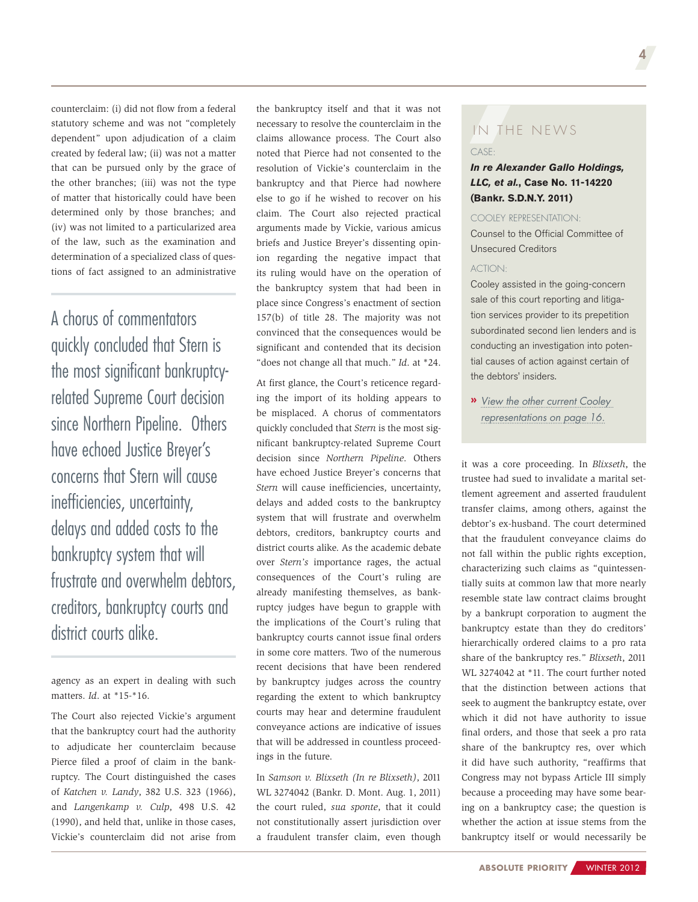counterclaim: (i) did not flow from a federal statutory scheme and was not "completely dependent" upon adjudication of a claim created by federal law; (ii) was not a matter that can be pursued only by the grace of the other branches; (iii) was not the type of matter that historically could have been determined only by those branches; and (iv) was not limited to a particularized area of the law, such as the examination and determination of a specialized class of questions of fact assigned to an administrative

A chorus of commentators quickly concluded that Stern is the most significant bankruptcyrelated Supreme Court decision since Northern Pipeline. Others have echoed Justice Breyer's concerns that Stern will cause inefficiencies, uncertainty, delays and added costs to the bankruptcy system that will frustrate and overwhelm debtors, creditors, bankruptcy courts and district courts alike.

agency as an expert in dealing with such matters. *Id*. at \*15-\*16.

The Court also rejected Vickie's argument that the bankruptcy court had the authority to adjudicate her counterclaim because Pierce filed a proof of claim in the bankruptcy. The Court distinguished the cases of *Katchen v. Landy*, 382 U.S. 323 (1966), and *Langenkamp v. Culp*, 498 U.S. 42 (1990), and held that, unlike in those cases, Vickie's counterclaim did not arise from

the bankruptcy itself and that it was not necessary to resolve the counterclaim in the claims allowance process. The Court also noted that Pierce had not consented to the resolution of Vickie's counterclaim in the bankruptcy and that Pierce had nowhere else to go if he wished to recover on his claim. The Court also rejected practical arguments made by Vickie, various amicus briefs and Justice Breyer's dissenting opinion regarding the negative impact that its ruling would have on the operation of the bankruptcy system that had been in place since Congress's enactment of section 157(b) of title 28. The majority was not convinced that the consequences would be significant and contended that its decision "does not change all that much." *Id*. at \*24.

At first glance, the Court's reticence regarding the import of its holding appears to be misplaced. A chorus of commentators quickly concluded that *Stern* is the most significant bankruptcy-related Supreme Court decision since *Northern Pipeline*. Others have echoed Justice Breyer's concerns that *Stern* will cause inefficiencies, uncertainty, delays and added costs to the bankruptcy system that will frustrate and overwhelm debtors, creditors, bankruptcy courts and district courts alike. As the academic debate over *Stern's* importance rages, the actual consequences of the Court's ruling are already manifesting themselves, as bankruptcy judges have begun to grapple with the implications of the Court's ruling that bankruptcy courts cannot issue final orders in some core matters. Two of the numerous recent decisions that have been rendered by bankruptcy judges across the country regarding the extent to which bankruptcy courts may hear and determine fraudulent conveyance actions are indicative of issues that will be addressed in countless proceedings in the future.

In *Samson v. Blixseth (In re Blixseth)*, 2011 WL 3274042 (Bankr. D. Mont. Aug. 1, 2011) the court ruled, *sua sponte*, that it could not constitutionally assert jurisdiction over a fraudulent transfer claim, even though

## Case: IN THE NEWS

#### *In re Alexander Gallo Holdings, LLC, et al.***, Case No. 11-14220 (Bankr. S.D.N.Y. 2011)**

#### Cooley representation:

Counsel to the Official Committee of Unsecured Creditors

#### ACTION:

Cooley assisted in the going-concern sale of this court reporting and litigation services provider to its prepetition subordinated second lien lenders and is conducting an investigation into potential causes of action against certain of the debtors' insiders.

**»** *[View the other current Cooley](#page-15-0) [representations on page 16.](#page-15-0)*

it was a core proceeding. In *Blixseth*, the trustee had sued to invalidate a marital settlement agreement and asserted fraudulent transfer claims, among others, against the debtor's ex-husband. The court determined that the fraudulent conveyance claims do not fall within the public rights exception, characterizing such claims as "quintessentially suits at common law that more nearly resemble state law contract claims brought by a bankrupt corporation to augment the bankruptcy estate than they do creditors' hierarchically ordered claims to a pro rata share of the bankruptcy res." *Blixseth*, 2011 WL 3274042 at \*11. The court further noted that the distinction between actions that seek to augment the bankruptcy estate, over which it did not have authority to issue final orders, and those that seek a pro rata share of the bankruptcy res, over which it did have such authority, "reaffirms that Congress may not bypass Article III simply because a proceeding may have some bearing on a bankruptcy case; the question is whether the action at issue stems from the bankruptcy itself or would necessarily be

4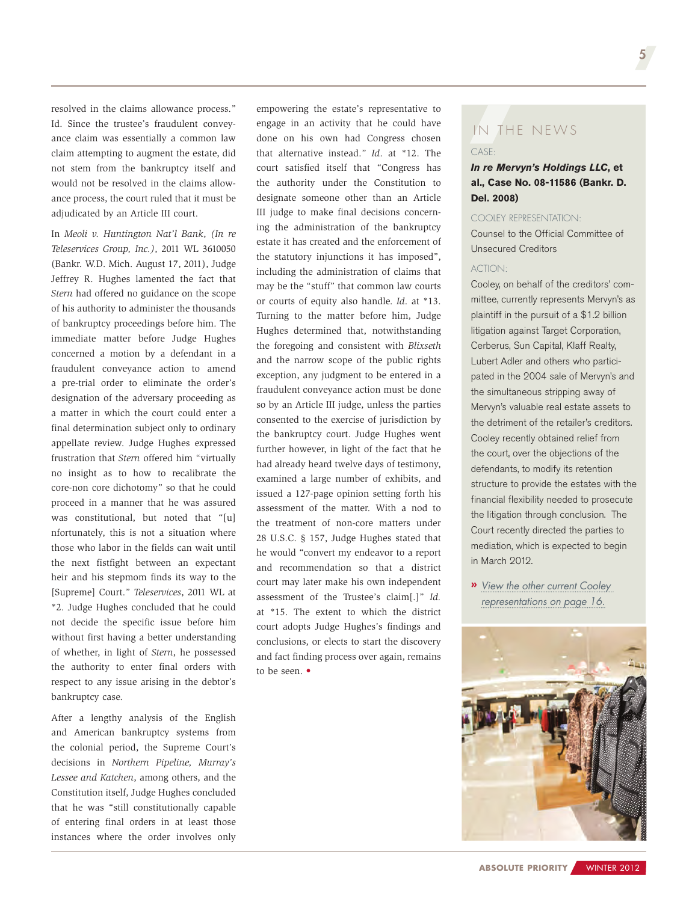resolved in the claims allowance process." Id. Since the trustee's fraudulent conveyance claim was essentially a common law claim attempting to augment the estate, did not stem from the bankruptcy itself and would not be resolved in the claims allowance process, the court ruled that it must be adjudicated by an Article III court.

In *Meoli v. Huntington Nat'l Bank*, *(In re Teleservices Group, Inc.)*, 2011 WL 3610050 (Bankr. W.D. Mich. August 17, 2011), Judge Jeffrey R. Hughes lamented the fact that *Stern* had offered no guidance on the scope of his authority to administer the thousands of bankruptcy proceedings before him. The immediate matter before Judge Hughes concerned a motion by a defendant in a fraudulent conveyance action to amend a pre-trial order to eliminate the order's designation of the adversary proceeding as a matter in which the court could enter a final determination subject only to ordinary appellate review. Judge Hughes expressed frustration that *Stern* offered him "virtually no insight as to how to recalibrate the core-non core dichotomy" so that he could proceed in a manner that he was assured was constitutional, but noted that "[u] nfortunately, this is not a situation where those who labor in the fields can wait until the next fistfight between an expectant heir and his stepmom finds its way to the [Supreme] Court." *Teleservices*, 2011 WL at \*2. Judge Hughes concluded that he could not decide the specific issue before him without first having a better understanding of whether, in light of *Stern*, he possessed the authority to enter final orders with respect to any issue arising in the debtor's bankruptcy case.

After a lengthy analysis of the English and American bankruptcy systems from the colonial period, the Supreme Court's decisions in *Northern Pipeline, Murray's Lessee and Katchen*, among others, and the Constitution itself, Judge Hughes concluded that he was "still constitutionally capable of entering final orders in at least those instances where the order involves only

empowering the estate's representative to engage in an activity that he could have done on his own had Congress chosen that alternative instead." *Id*. at \*12. The court satisfied itself that "Congress has the authority under the Constitution to designate someone other than an Article III judge to make final decisions concerning the administration of the bankruptcy estate it has created and the enforcement of the statutory injunctions it has imposed", including the administration of claims that may be the "stuff" that common law courts or courts of equity also handle. *Id*. at \*13. Turning to the matter before him, Judge Hughes determined that, notwithstanding the foregoing and consistent with *Blixseth*  and the narrow scope of the public rights exception, any judgment to be entered in a fraudulent conveyance action must be done so by an Article III judge, unless the parties consented to the exercise of jurisdiction by the bankruptcy court. Judge Hughes went further however, in light of the fact that he had already heard twelve days of testimony, examined a large number of exhibits, and issued a 127-page opinion setting forth his assessment of the matter. With a nod to the treatment of non-core matters under 28 U.S.C. § 157, Judge Hughes stated that he would "convert my endeavor to a report and recommendation so that a district court may later make his own independent assessment of the Trustee's claim[.]" *Id.*  at \*15. The extent to which the district court adopts Judge Hughes's findings and conclusions, or elects to start the discovery and fact finding process over again, remains to be seen. •

## $CASF$ IN THE NEWS

#### *In re Mervyn's Holdings LLC***, et al., Case No. 08-11586 (Bankr. D. Del. 2008)**

#### Cooley representation:

Counsel to the Official Committee of Unsecured Creditors

#### ACTION:

Cooley, on behalf of the creditors' committee, currently represents Mervyn's as plaintiff in the pursuit of a \$1.2 billion litigation against Target Corporation, Cerberus, Sun Capital, Klaff Realty, Lubert Adler and others who participated in the 2004 sale of Mervyn's and the simultaneous stripping away of Mervyn's valuable real estate assets to the detriment of the retailer's creditors. Cooley recently obtained relief from the court, over the objections of the defendants, to modify its retention structure to provide the estates with the financial flexibility needed to prosecute the litigation through conclusion. The Court recently directed the parties to mediation, which is expected to begin in March 2012.

**»** *[View the other current Cooley](#page-15-0) [representations on page 16.](#page-15-0)*

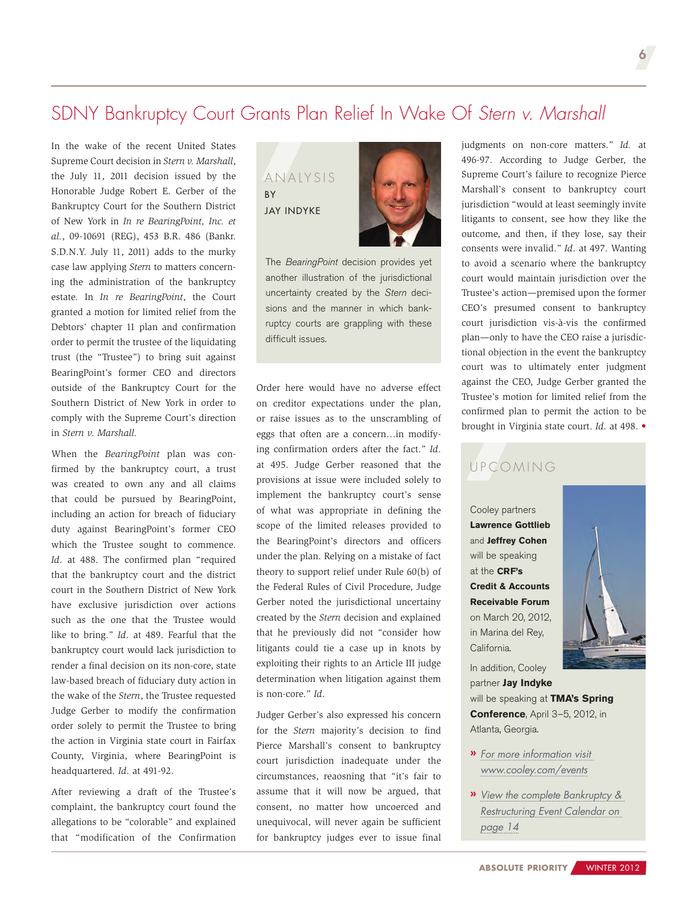## <span id="page-5-0"></span>SDNY Bankruptcy Court Grants Plan Relief In Wake Of *Stern v. Marshall*

In the wake of the recent United States Supreme Court decision in *Stern v. Marshall*, the July 11, 2011 decision issued by the Honorable Judge Robert E. Gerber of the Bankruptcy Court for the Southern District of New York in *In re BearingPoint, Inc. et al.*, 09-10691 (REG), 453 B.R. 486 (Bankr. S.D.N.Y. July 11, 2011) adds to the murky case law applying *Stern* to matters concerning the administration of the bankruptcy estate. In *In re BearingPoint*, the Court granted a motion for limited relief from the Debtors' chapter 11 plan and confirmation order to permit the trustee of the liquidating trust (the "Trustee") to bring suit against BearingPoint's former CEO and directors outside of the Bankruptcy Court for the Southern District of New York in order to comply with the Supreme Court's direction in *Stern v. Marshall.*

When the *BearingPoint* plan was confirmed by the bankruptcy court, a trust was created to own any and all claims that could be pursued by BearingPoint, including an action for breach of fiduciary duty against BearingPoint's former CEO which the Trustee sought to commence. *Id*. at 488. The confirmed plan "required that the bankruptcy court and the district court in the Southern District of New York have exclusive jurisdiction over actions such as the one that the Trustee would like to bring." *Id*. at 489. Fearful that the bankruptcy court would lack jurisdiction to render a final decision on its non-core, state law-based breach of fiduciary duty action in the wake of the *Stern*, the Trustee requested Judge Gerber to modify the confirmation order solely to permit the Trustee to bring the action in Virginia state court in Fairfax County, Virginia, where BearingPoint is headquartered. *Id*. at 491-92.

After reviewing a draft of the Trustee's complaint, the bankruptcy court found the allegations to be "colorable" and explained that "modification of the Confirmation

#### ANALYSIS BY [Jay Indyke](http://www.cooley.com/jindyke)



The *BearingPoint* decision provides yet another illustration of the jurisdictional uncertainty created by the *Stern* decisions and the manner in which bankruptcy courts are grappling with these difficult issues.

Order here would have no adverse effect on creditor expectations under the plan, or raise issues as to the unscrambling of eggs that often are a concern…in modifying confirmation orders after the fact." *Id*. at 495. Judge Gerber reasoned that the provisions at issue were included solely to implement the bankruptcy court's sense of what was appropriate in defining the scope of the limited releases provided to the BearingPoint's directors and officers under the plan. Relying on a mistake of fact theory to support relief under Rule 60(b) of the Federal Rules of Civil Procedure, Judge Gerber noted the jurisdictional uncertainy created by the *Stern* decision and explained that he previously did not "consider how litigants could tie a case up in knots by exploiting their rights to an Article III judge determination when litigation against them is non-core." *Id*.

Judger Gerber's also expressed his concern for the *Stern* majority's decision to find Pierce Marshall's consent to bankruptcy court jurisdiction inadequate under the circumstances, reaosning that "it's fair to assume that it will now be argued, that consent, no matter how uncoerced and unequivocal, will never again be sufficient for bankruptcy judges ever to issue final

judgments on non-core matters." *Id.* at 496-97. According to Judge Gerber, the Supreme Court's failure to recognize Pierce Marshall's consent to bankruptcy court jurisdiction "would at least seemingly invite litigants to consent, see how they like the outcome, and then, if they lose, say their consents were invalid." *Id*. at 497. Wanting to avoid a scenario where the bankruptcy court would maintain jurisdiction over the Trustee's action—premised upon the former CEO's presumed consent to bankruptcy court jurisdiction vis-à-vis the confirmed plan—only to have the CEO raise a jurisdictional objection in the event the bankruptcy court was to ultimately enter judgment against the CEO, Judge Gerber granted the Trustee's motion for limited relief from the confirmed plan to permit the action to be brought in Virginia state court. *Id*. at 498. •

## U P C O MING

Cooley partners **[Lawrence Gottlieb](http://www.cooley.com/lgottlieb)**  and **[Jeffrey Cohen](http://www.cooley.com/jcohen)** will be speaking at the **CRF's Credit & Accounts Receivable Forum** on March 20, 2012, in Marina del Rey, California.



In addition, Cooley partner **[Jay Indyke](http://www.cooley.com/jindyke)** will be speaking at **TMA's Spring Conference**, April 3–5, 2012, in Atlanta, Georgia.

- **»** *For more information visit [www.cooley.com/events](http://www.cooley.com/events)*
- **»** *[View the complete Bankruptcy &](#page-13-0) [Restructuring Event Calendar on](#page-13-0)  [page](#page-13-0) 14*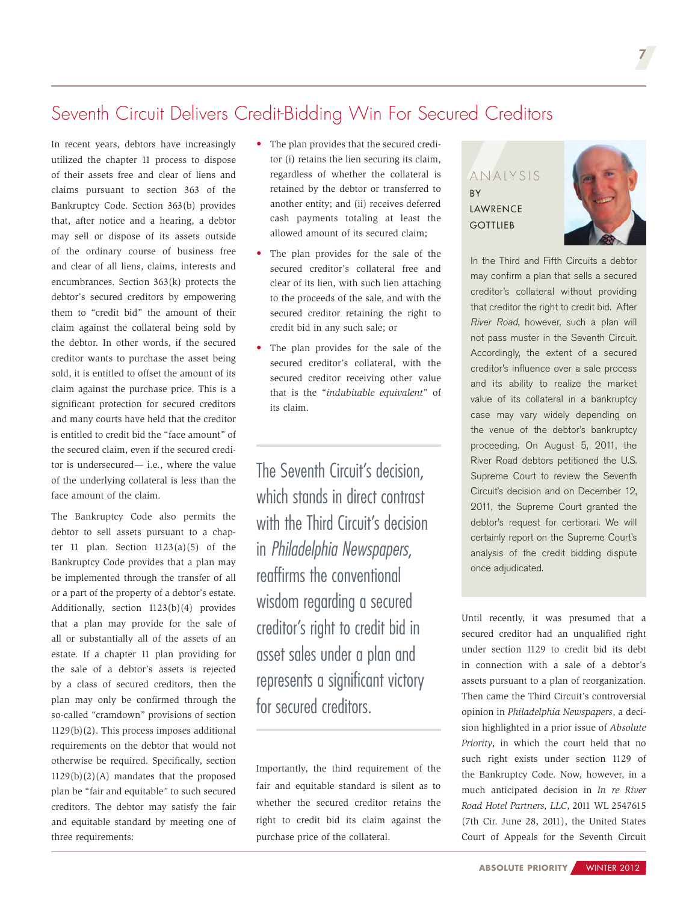## <span id="page-6-0"></span>Seventh Circuit Delivers Credit-Bidding Win For Secured Creditors

In recent years, debtors have increasingly utilized the chapter 11 process to dispose of their assets free and clear of liens and claims pursuant to section 363 of the Bankruptcy Code. Section 363(b) provides that, after notice and a hearing, a debtor may sell or dispose of its assets outside of the ordinary course of business free and clear of all liens, claims, interests and encumbrances. Section 363(k) protects the debtor's secured creditors by empowering them to "credit bid" the amount of their claim against the collateral being sold by the debtor. In other words, if the secured creditor wants to purchase the asset being sold, it is entitled to offset the amount of its claim against the purchase price. This is a significant protection for secured creditors and many courts have held that the creditor is entitled to credit bid the "face amount" of the secured claim, even if the secured creditor is undersecured— i.e., where the value of the underlying collateral is less than the face amount of the claim.

The Bankruptcy Code also permits the debtor to sell assets pursuant to a chapter 11 plan. Section  $1123(a)(5)$  of the Bankruptcy Code provides that a plan may be implemented through the transfer of all or a part of the property of a debtor's estate. Additionally, section 1123(b)(4) provides that a plan may provide for the sale of all or substantially all of the assets of an estate. If a chapter 11 plan providing for the sale of a debtor's assets is rejected by a class of secured creditors, then the plan may only be confirmed through the so-called "cramdown" provisions of section 1129(b)(2). This process imposes additional requirements on the debtor that would not otherwise be required. Specifically, section 1129(b)(2)(A) mandates that the proposed plan be "fair and equitable" to such secured creditors. The debtor may satisfy the fair and equitable standard by meeting one of three requirements:

- The plan provides that the secured creditor (i) retains the lien securing its claim, regardless of whether the collateral is retained by the debtor or transferred to another entity; and (ii) receives deferred cash payments totaling at least the allowed amount of its secured claim;
- The plan provides for the sale of the secured creditor's collateral free and clear of its lien, with such lien attaching to the proceeds of the sale, and with the secured creditor retaining the right to credit bid in any such sale; or
- The plan provides for the sale of the secured creditor's collateral, with the secured creditor receiving other value that is the "*indubitable equivalent*" of its claim.

The Seventh Circuit's decision, which stands in direct contrast with the Third Circuit's decision in *Philadelphia Newspapers*, reaffirms the conventional wisdom regarding a secured creditor's right to credit bid in asset sales under a plan and represents a significant victory for secured creditors.

Importantly, the third requirement of the fair and equitable standard is silent as to whether the secured creditor retains the right to credit bid its claim against the purchase price of the collateral.

ANALYSIS **BY** [Lawrence](http://www.cooley.com/lgottlieb) **GOTTLIEB** 



7

In the Third and Fifth Circuits a debtor may confirm a plan that sells a secured creditor's collateral without providing that creditor the right to credit bid. After *River Road*, however, such a plan will not pass muster in the Seventh Circuit. Accordingly, the extent of a secured creditor's influence over a sale process and its ability to realize the market value of its collateral in a bankruptcy case may vary widely depending on the venue of the debtor's bankruptcy proceeding. On August 5, 2011, the River Road debtors petitioned the U.S. Supreme Court to review the Seventh Circuit's decision and on December 12, 2011, the Supreme Court granted the debtor's request for certiorari. We will certainly report on the Supreme Court's analysis of the credit bidding dispute once adjudicated.

Until recently, it was presumed that a secured creditor had an unqualified right under section 1129 to credit bid its debt in connection with a sale of a debtor's assets pursuant to a plan of reorganization. Then came the Third Circuit's controversial opinion in *Philadelphia Newspapers*, a decision highlighted in a prior issue of *Absolute Priority*, in which the court held that no such right exists under section 1129 of the Bankruptcy Code. Now, however, in a much anticipated decision in *In re River Road Hotel Partners, LLC*, 2011 WL 2547615 (7th Cir. June 28, 2011), the United States Court of Appeals for the Seventh Circuit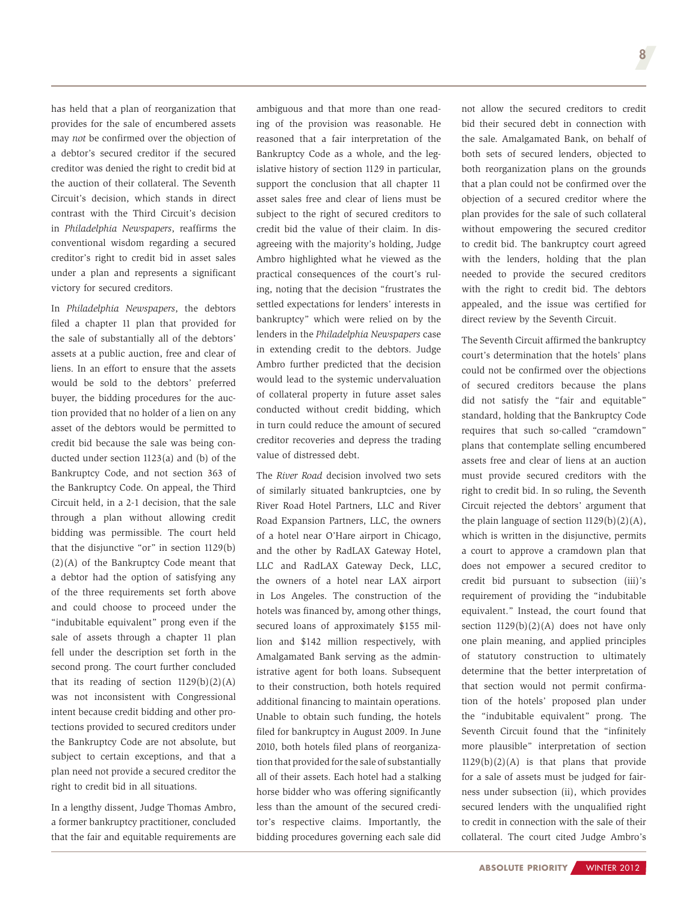has held that a plan of reorganization that provides for the sale of encumbered assets may *not* be confirmed over the objection of a debtor's secured creditor if the secured creditor was denied the right to credit bid at the auction of their collateral. The Seventh Circuit's decision, which stands in direct contrast with the Third Circuit's decision in *Philadelphia Newspapers*, reaffirms the conventional wisdom regarding a secured creditor's right to credit bid in asset sales under a plan and represents a significant victory for secured creditors.

In *Philadelphia Newspapers*, the debtors filed a chapter 11 plan that provided for the sale of substantially all of the debtors' assets at a public auction, free and clear of liens. In an effort to ensure that the assets would be sold to the debtors' preferred buyer, the bidding procedures for the auction provided that no holder of a lien on any asset of the debtors would be permitted to credit bid because the sale was being conducted under section 1123(a) and (b) of the Bankruptcy Code, and not section 363 of the Bankruptcy Code. On appeal, the Third Circuit held, in a 2-1 decision, that the sale through a plan without allowing credit bidding was permissible. The court held that the disjunctive "or" in section 1129(b) (2)(A) of the Bankruptcy Code meant that a debtor had the option of satisfying any of the three requirements set forth above and could choose to proceed under the "indubitable equivalent" prong even if the sale of assets through a chapter 11 plan fell under the description set forth in the second prong. The court further concluded that its reading of section  $1129(b)(2)(A)$ was not inconsistent with Congressional intent because credit bidding and other protections provided to secured creditors under the Bankruptcy Code are not absolute, but subject to certain exceptions, and that a plan need not provide a secured creditor the right to credit bid in all situations.

In a lengthy dissent, Judge Thomas Ambro, a former bankruptcy practitioner, concluded that the fair and equitable requirements are

ambiguous and that more than one reading of the provision was reasonable. He reasoned that a fair interpretation of the Bankruptcy Code as a whole, and the legislative history of section 1129 in particular, support the conclusion that all chapter 11 asset sales free and clear of liens must be subject to the right of secured creditors to credit bid the value of their claim. In disagreeing with the majority's holding, Judge Ambro highlighted what he viewed as the practical consequences of the court's ruling, noting that the decision "frustrates the settled expectations for lenders' interests in bankruptcy" which were relied on by the lenders in the *Philadelphia Newspapers* case in extending credit to the debtors. Judge Ambro further predicted that the decision would lead to the systemic undervaluation of collateral property in future asset sales conducted without credit bidding, which in turn could reduce the amount of secured creditor recoveries and depress the trading value of distressed debt.

The *River Road* decision involved two sets of similarly situated bankruptcies, one by River Road Hotel Partners, LLC and River Road Expansion Partners, LLC, the owners of a hotel near O'Hare airport in Chicago, and the other by RadLAX Gateway Hotel, LLC and RadLAX Gateway Deck, LLC, the owners of a hotel near LAX airport in Los Angeles. The construction of the hotels was financed by, among other things, secured loans of approximately \$155 million and \$142 million respectively, with Amalgamated Bank serving as the administrative agent for both loans. Subsequent to their construction, both hotels required additional financing to maintain operations. Unable to obtain such funding, the hotels filed for bankruptcy in August 2009. In June 2010, both hotels filed plans of reorganization that provided for the sale of substantially all of their assets. Each hotel had a stalking horse bidder who was offering significantly less than the amount of the secured creditor's respective claims. Importantly, the bidding procedures governing each sale did

not allow the secured creditors to credit bid their secured debt in connection with the sale. Amalgamated Bank, on behalf of both sets of secured lenders, objected to both reorganization plans on the grounds that a plan could not be confirmed over the objection of a secured creditor where the plan provides for the sale of such collateral without empowering the secured creditor to credit bid. The bankruptcy court agreed with the lenders, holding that the plan needed to provide the secured creditors with the right to credit bid. The debtors appealed, and the issue was certified for direct review by the Seventh Circuit.

The Seventh Circuit affirmed the bankruptcy court's determination that the hotels' plans could not be confirmed over the objections of secured creditors because the plans did not satisfy the "fair and equitable" standard, holding that the Bankruptcy Code requires that such so-called "cramdown" plans that contemplate selling encumbered assets free and clear of liens at an auction must provide secured creditors with the right to credit bid. In so ruling, the Seventh Circuit rejected the debtors' argument that the plain language of section  $1129(b)(2)(A)$ , which is written in the disjunctive, permits a court to approve a cramdown plan that does not empower a secured creditor to credit bid pursuant to subsection (iii)'s requirement of providing the "indubitable equivalent." Instead, the court found that section  $1129(b)(2)(A)$  does not have only one plain meaning, and applied principles of statutory construction to ultimately determine that the better interpretation of that section would not permit confirmation of the hotels' proposed plan under the "indubitable equivalent" prong. The Seventh Circuit found that the "infinitely more plausible" interpretation of section  $1129(b)(2)(A)$  is that plans that provide for a sale of assets must be judged for fairness under subsection (ii), which provides secured lenders with the unqualified right to credit in connection with the sale of their collateral. The court cited Judge Ambro's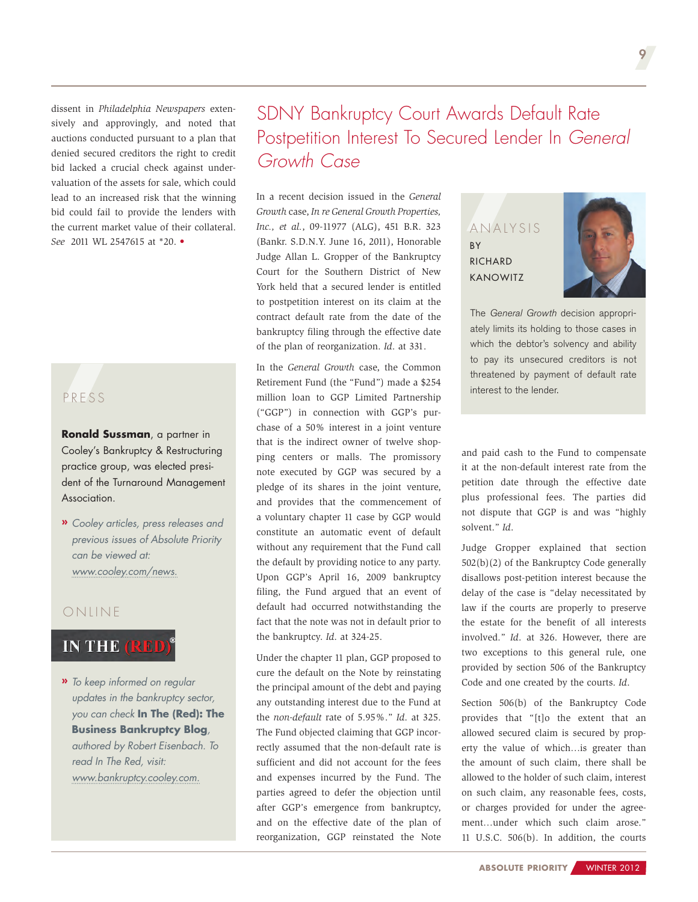<span id="page-8-0"></span>dissent in *Philadelphia Newspapers* extensively and approvingly, and noted that auctions conducted pursuant to a plan that denied secured creditors the right to credit bid lacked a crucial check against undervaluation of the assets for sale, which could lead to an increased risk that the winning bid could fail to provide the lenders with the current market value of their collateral. *See* 2011 WL 2547615 at \*20. •

## PRE S S

**[Ronald Sussman](http://www.cooley.com/rsussman)**, a partner in Cooley's Bankruptcy & Restructuring practice group, was elected president of the Turnaround Management Association.

**»** *Cooley articles, press releases and previous issues of Absolute Priority can be viewed at: [www.cooley.com/news.](http://www.cooley.com/news)*

#### **ONLINE**

#### **IN THE (RED)**

**»** *To keep informed on regular updates in the bankruptcy sector, you can check* **In The (Red): The Business Bankruptcy Blog***, authored by Robert Eisenbach. To read In The Red, visit: www[.bankruptcy.cooley.com.](http://www.bankruptcy.cooley.com/)*

## SDNY Bankruptcy Court Awards Default Rate Postpetition Interest To Secured Lender In *General Growth Case*

In a recent decision issued in the *General Growth* case, *In re General Growth Properties, Inc., et al.*, 09-11977 (ALG), 451 B.R. 323 (Bankr. S.D.N.Y. June 16, 2011), Honorable Judge Allan L. Gropper of the Bankruptcy Court for the Southern District of New York held that a secured lender is entitled to postpetition interest on its claim at the contract default rate from the date of the bankruptcy filing through the effective date of the plan of reorganization. *Id*. at 331.

In the *General Growth* case, the Common Retirement Fund (the "Fund") made a \$254 million loan to GGP Limited Partnership ("GGP") in connection with GGP's purchase of a 50% interest in a joint venture that is the indirect owner of twelve shopping centers or malls. The promissory note executed by GGP was secured by a pledge of its shares in the joint venture, and provides that the commencement of a voluntary chapter 11 case by GGP would constitute an automatic event of default without any requirement that the Fund call the default by providing notice to any party. Upon GGP's April 16, 2009 bankruptcy filing, the Fund argued that an event of default had occurred notwithstanding the fact that the note was not in default prior to the bankruptcy. *Id*. at 324-25.

Under the chapter 11 plan, GGP proposed to cure the default on the Note by reinstating the principal amount of the debt and paying any outstanding interest due to the Fund at the *non-default* rate of 5.95%." *Id*. at 325. The Fund objected claiming that GGP incorrectly assumed that the non-default rate is sufficient and did not account for the fees and expenses incurred by the Fund. The parties agreed to defer the objection until after GGP's emergence from bankruptcy, and on the effective date of the plan of reorganization, GGP reinstated the Note

ANALYSIS BY **RICHARD** [Kanowitz](http://www.cooley.com/rkanowitz)



The *General Growth* decision appropriately limits its holding to those cases in which the debtor's solvency and ability to pay its unsecured creditors is not threatened by payment of default rate interest to the lender.

and paid cash to the Fund to compensate it at the non-default interest rate from the petition date through the effective date plus professional fees. The parties did not dispute that GGP is and was "highly solvent." *Id*.

Judge Gropper explained that section 502(b)(2) of the Bankruptcy Code generally disallows post-petition interest because the delay of the case is "delay necessitated by law if the courts are properly to preserve the estate for the benefit of all interests involved." *Id*. at 326. However, there are two exceptions to this general rule, one provided by section 506 of the Bankruptcy Code and one created by the courts. *Id*.

Section 506(b) of the Bankruptcy Code provides that "[t]o the extent that an allowed secured claim is secured by property the value of which…is greater than the amount of such claim, there shall be allowed to the holder of such claim, interest on such claim, any reasonable fees, costs, or charges provided for under the agreement…under which such claim arose." 11 U.S.C. 506(b). In addition, the courts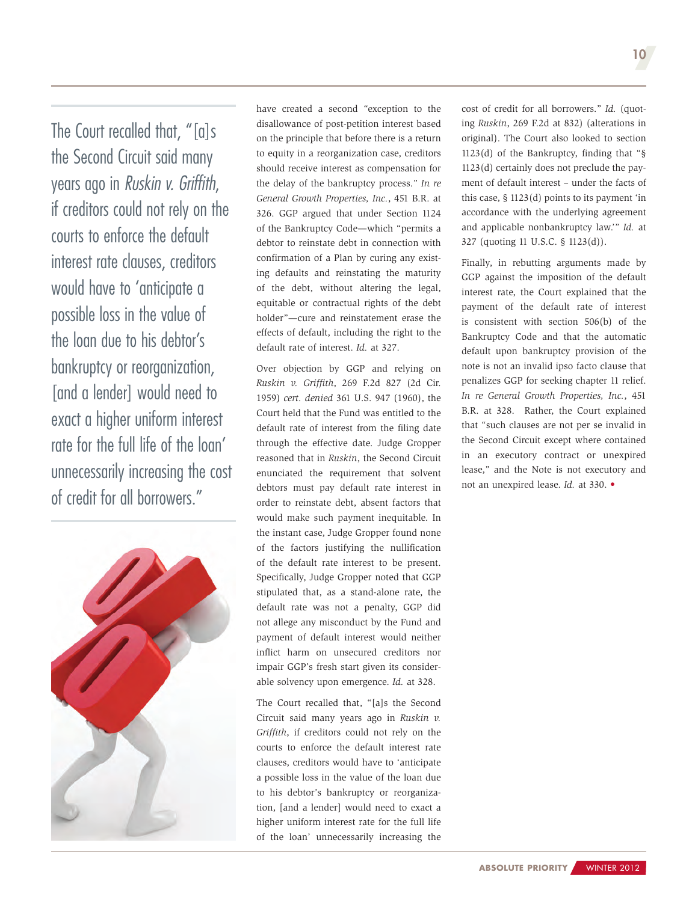The Court recalled that, "[a]s the Second Circuit said many years ago in *Ruskin v. Griffith*, if creditors could not rely on the courts to enforce the default interest rate clauses, creditors would have to 'anticipate a possible loss in the value of the loan due to his debtor's bankruptcy or reorganization, [and a lender] would need to exact a higher uniform interest rate for the full life of the loan' unnecessarily increasing the cost of credit for all borrowers."



have created a second "exception to the disallowance of post-petition interest based on the principle that before there is a return to equity in a reorganization case, creditors should receive interest as compensation for the delay of the bankruptcy process." *In re General Growth Properties, Inc.*, 451 B.R. at 326. GGP argued that under Section 1124 of the Bankruptcy Code—which "permits a debtor to reinstate debt in connection with confirmation of a Plan by curing any existing defaults and reinstating the maturity of the debt, without altering the legal, equitable or contractual rights of the debt holder"—cure and reinstatement erase the effects of default, including the right to the default rate of interest. *Id.* at 327.

Over objection by GGP and relying on *Ruskin v. Griffith*, 269 F.2d 827 (2d Cir. 1959) *cert. denied* 361 U.S. 947 (1960), the Court held that the Fund was entitled to the default rate of interest from the filing date through the effective date. Judge Gropper reasoned that in *Ruskin*, the Second Circuit enunciated the requirement that solvent debtors must pay default rate interest in order to reinstate debt, absent factors that would make such payment inequitable. In the instant case, Judge Gropper found none of the factors justifying the nullification of the default rate interest to be present. Specifically, Judge Gropper noted that GGP stipulated that, as a stand-alone rate, the default rate was not a penalty, GGP did not allege any misconduct by the Fund and payment of default interest would neither inflict harm on unsecured creditors nor impair GGP's fresh start given its considerable solvency upon emergence. *Id.* at 328.

The Court recalled that, "[a]s the Second Circuit said many years ago in *Ruskin v. Griffith*, if creditors could not rely on the courts to enforce the default interest rate clauses, creditors would have to 'anticipate a possible loss in the value of the loan due to his debtor's bankruptcy or reorganization, [and a lender] would need to exact a higher uniform interest rate for the full life of the loan' unnecessarily increasing the

cost of credit for all borrowers." *Id.* (quoting *Ruskin*, 269 F.2d at 832) (alterations in original). The Court also looked to section 1123(d) of the Bankruptcy, finding that "§ 1123(d) certainly does not preclude the payment of default interest – under the facts of this case, § 1123(d) points to its payment 'in accordance with the underlying agreement and applicable nonbankruptcy law.'" *Id.* at 327 (quoting 11 U.S.C. § 1123(d)).

Finally, in rebutting arguments made by GGP against the imposition of the default interest rate, the Court explained that the payment of the default rate of interest is consistent with section 506(b) of the Bankruptcy Code and that the automatic default upon bankruptcy provision of the note is not an invalid ipso facto clause that penalizes GGP for seeking chapter 11 relief. *In re General Growth Properties, Inc.*, 451 B.R. at 328. Rather, the Court explained that "such clauses are not per se invalid in the Second Circuit except where contained in an executory contract or unexpired lease," and the Note is not executory and not an unexpired lease. *Id.* at 330. •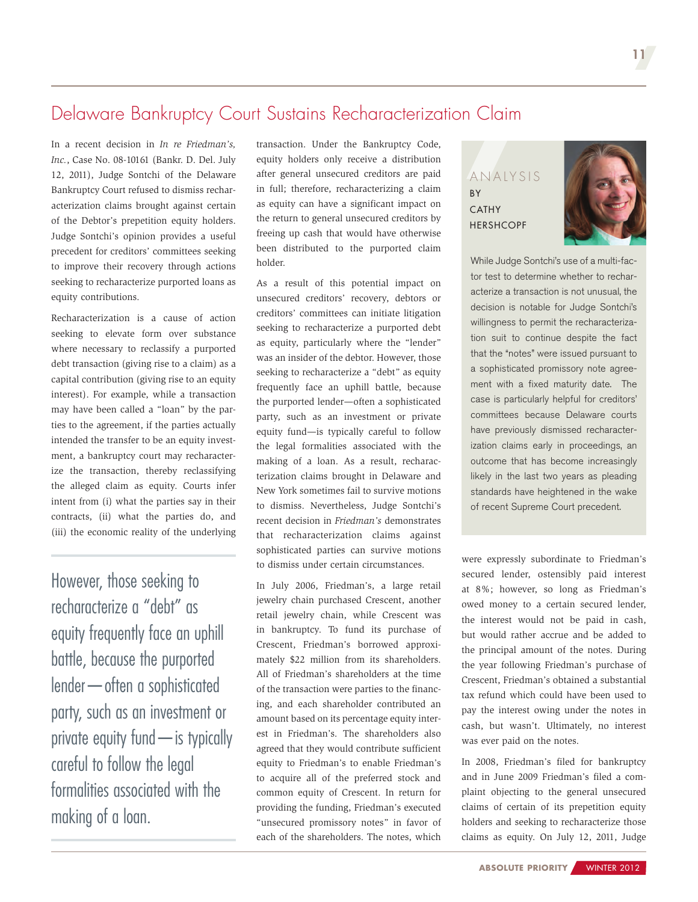## <span id="page-10-0"></span>Delaware Bankruptcy Court Sustains Recharacterization Claim

In a recent decision in *In re Friedman's, Inc.*, Case No. 08-10161 (Bankr. D. Del. July 12, 2011), Judge Sontchi of the Delaware Bankruptcy Court refused to dismiss recharacterization claims brought against certain of the Debtor's prepetition equity holders. Judge Sontchi's opinion provides a useful precedent for creditors' committees seeking to improve their recovery through actions seeking to recharacterize purported loans as equity contributions.

Recharacterization is a cause of action seeking to elevate form over substance where necessary to reclassify a purported debt transaction (giving rise to a claim) as a capital contribution (giving rise to an equity interest). For example, while a transaction may have been called a "loan" by the parties to the agreement, if the parties actually intended the transfer to be an equity investment, a bankruptcy court may recharacterize the transaction, thereby reclassifying the alleged claim as equity. Courts infer intent from (i) what the parties say in their contracts, (ii) what the parties do, and (iii) the economic reality of the underlying

However, those seeking to recharacterize a "debt" as equity frequently face an uphill battle, because the purported lender—often a sophisticated party, such as an investment or private equity fund—is typically careful to follow the legal formalities associated with the making of a loan.

transaction. Under the Bankruptcy Code, equity holders only receive a distribution after general unsecured creditors are paid in full; therefore, recharacterizing a claim as equity can have a significant impact on the return to general unsecured creditors by freeing up cash that would have otherwise been distributed to the purported claim holder.

As a result of this potential impact on unsecured creditors' recovery, debtors or creditors' committees can initiate litigation seeking to recharacterize a purported debt as equity, particularly where the "lender" was an insider of the debtor. However, those seeking to recharacterize a "debt" as equity frequently face an uphill battle, because the purported lender—often a sophisticated party, such as an investment or private equity fund—is typically careful to follow the legal formalities associated with the making of a loan. As a result, recharacterization claims brought in Delaware and New York sometimes fail to survive motions to dismiss. Nevertheless, Judge Sontchi's recent decision in *Friedman's* demonstrates that recharacterization claims against sophisticated parties can survive motions to dismiss under certain circumstances.

In July 2006, Friedman's, a large retail jewelry chain purchased Crescent, another retail jewelry chain, while Crescent was in bankruptcy. To fund its purchase of Crescent, Friedman's borrowed approximately \$22 million from its shareholders. All of Friedman's shareholders at the time of the transaction were parties to the financing, and each shareholder contributed an amount based on its percentage equity interest in Friedman's. The shareholders also agreed that they would contribute sufficient equity to Friedman's to enable Friedman's to acquire all of the preferred stock and common equity of Crescent. In return for providing the funding, Friedman's executed "unsecured promissory notes" in favor of each of the shareholders. The notes, which

ANALYSIS **BY** CATHY **HERSHCOPF** 



While Judge Sontchi's use of a multi-factor test to determine whether to recharacterize a transaction is not unusual, the decision is notable for Judge Sontchi's willingness to permit the recharacterization suit to continue despite the fact that the "notes" were issued pursuant to a sophisticated promissory note agreement with a fixed maturity date. The case is particularly helpful for creditors' committees because Delaware courts have previously dismissed recharacterization claims early in proceedings, an outcome that has become increasingly likely in the last two years as pleading standards have heightened in the wake of recent Supreme Court precedent.

were expressly subordinate to Friedman's secured lender, ostensibly paid interest at 8%; however, so long as Friedman's owed money to a certain secured lender, the interest would not be paid in cash, but would rather accrue and be added to the principal amount of the notes. During the year following Friedman's purchase of Crescent, Friedman's obtained a substantial tax refund which could have been used to pay the interest owing under the notes in cash, but wasn't. Ultimately, no interest was ever paid on the notes.

In 2008, Friedman's filed for bankruptcy and in June 2009 Friedman's filed a complaint objecting to the general unsecured claims of certain of its prepetition equity holders and seeking to recharacterize those claims as equity. On July 12, 2011, Judge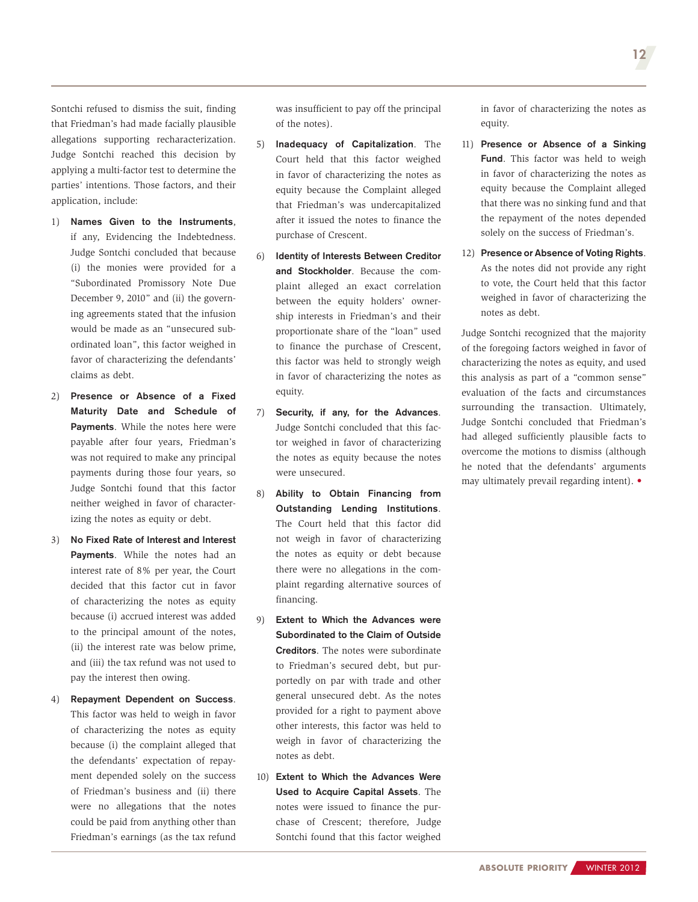Sontchi refused to dismiss the suit, finding that Friedman's had made facially plausible allegations supporting recharacterization. Judge Sontchi reached this decision by applying a multi-factor test to determine the parties' intentions. Those factors, and their application, include:

- 1) Names Given to the Instruments, if any, Evidencing the Indebtedness. Judge Sontchi concluded that because (i) the monies were provided for a "Subordinated Promissory Note Due December 9, 2010" and (ii) the governing agreements stated that the infusion would be made as an "unsecured subordinated loan", this factor weighed in favor of characterizing the defendants' claims as debt.
- 2) Presence or Absence of a Fixed Maturity Date and Schedule of Payments. While the notes here were payable after four years, Friedman's was not required to make any principal payments during those four years, so Judge Sontchi found that this factor neither weighed in favor of characterizing the notes as equity or debt.
- 3) No Fixed Rate of Interest and Interest Payments. While the notes had an interest rate of 8% per year, the Court decided that this factor cut in favor of characterizing the notes as equity because (i) accrued interest was added to the principal amount of the notes, (ii) the interest rate was below prime, and (iii) the tax refund was not used to pay the interest then owing.
- 4) Repayment Dependent on Success. This factor was held to weigh in favor of characterizing the notes as equity because (i) the complaint alleged that the defendants' expectation of repayment depended solely on the success of Friedman's business and (ii) there were no allegations that the notes could be paid from anything other than Friedman's earnings (as the tax refund

was insufficient to pay off the principal of the notes).

- 5) Inadequacy of Capitalization. The Court held that this factor weighed in favor of characterizing the notes as equity because the Complaint alleged that Friedman's was undercapitalized after it issued the notes to finance the purchase of Crescent.
- 6) Identity of Interests Between Creditor and Stockholder. Because the complaint alleged an exact correlation between the equity holders' ownership interests in Friedman's and their proportionate share of the "loan" used to finance the purchase of Crescent, this factor was held to strongly weigh in favor of characterizing the notes as equity.
- 7) Security, if any, for the Advances. Judge Sontchi concluded that this factor weighed in favor of characterizing the notes as equity because the notes were unsecured.
- 8) Ability to Obtain Financing from Outstanding Lending Institutions. The Court held that this factor did not weigh in favor of characterizing the notes as equity or debt because there were no allegations in the complaint regarding alternative sources of financing.
- 9) Extent to Which the Advances were Subordinated to the Claim of Outside Creditors. The notes were subordinate to Friedman's secured debt, but purportedly on par with trade and other general unsecured debt. As the notes provided for a right to payment above other interests, this factor was held to weigh in favor of characterizing the notes as debt.
- 10) Extent to Which the Advances Were Used to Acquire Capital Assets. The notes were issued to finance the purchase of Crescent; therefore, Judge Sontchi found that this factor weighed

in favor of characterizing the notes as equity.

- 11) Presence or Absence of a Sinking Fund. This factor was held to weigh in favor of characterizing the notes as equity because the Complaint alleged that there was no sinking fund and that the repayment of the notes depended solely on the success of Friedman's.
- 12) Presence or Absence of Voting Rights. As the notes did not provide any right to vote, the Court held that this factor weighed in favor of characterizing the notes as debt.

Judge Sontchi recognized that the majority of the foregoing factors weighed in favor of characterizing the notes as equity, and used this analysis as part of a "common sense" evaluation of the facts and circumstances surrounding the transaction. Ultimately, Judge Sontchi concluded that Friedman's had alleged sufficiently plausible facts to overcome the motions to dismiss (although he noted that the defendants' arguments may ultimately prevail regarding intent). •

12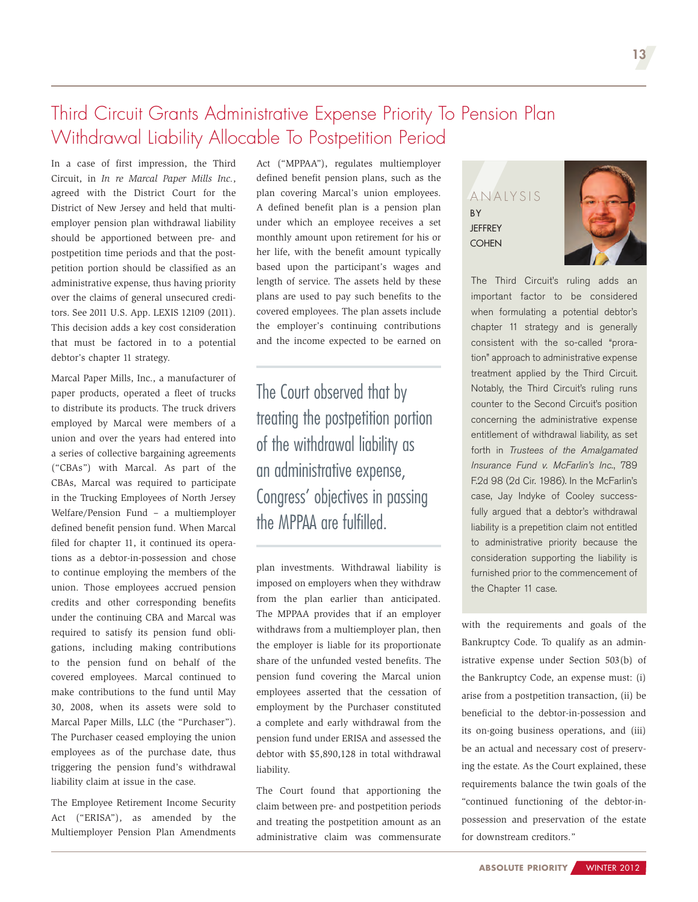## <span id="page-12-0"></span>Third Circuit Grants Administrative Expense Priority To Pension Plan Withdrawal Liability Allocable To Postpetition Period

In a case of first impression, the Third Circuit, in *In re Marcal Paper Mills Inc.*, agreed with the District Court for the District of New Jersey and held that multiemployer pension plan withdrawal liability should be apportioned between pre- and postpetition time periods and that the postpetition portion should be classified as an administrative expense, thus having priority over the claims of general unsecured creditors. See 2011 U.S. App. LEXIS 12109 (2011). This decision adds a key cost consideration that must be factored in to a potential debtor's chapter 11 strategy.

Marcal Paper Mills, Inc., a manufacturer of paper products, operated a fleet of trucks to distribute its products. The truck drivers employed by Marcal were members of a union and over the years had entered into a series of collective bargaining agreements ("CBAs") with Marcal. As part of the CBAs, Marcal was required to participate in the Trucking Employees of North Jersey Welfare/Pension Fund – a multiemployer defined benefit pension fund. When Marcal filed for chapter 11, it continued its operations as a debtor-in-possession and chose to continue employing the members of the union. Those employees accrued pension credits and other corresponding benefits under the continuing CBA and Marcal was required to satisfy its pension fund obligations, including making contributions to the pension fund on behalf of the covered employees. Marcal continued to make contributions to the fund until May 30, 2008, when its assets were sold to Marcal Paper Mills, LLC (the "Purchaser"). The Purchaser ceased employing the union employees as of the purchase date, thus triggering the pension fund's withdrawal liability claim at issue in the case.

The Employee Retirement Income Security Act ("ERISA"), as amended by the Multiemployer Pension Plan Amendments

Act ("MPPAA"), regulates multiemployer defined benefit pension plans, such as the plan covering Marcal's union employees. A defined benefit plan is a pension plan under which an employee receives a set monthly amount upon retirement for his or her life, with the benefit amount typically based upon the participant's wages and length of service. The assets held by these plans are used to pay such benefits to the covered employees. The plan assets include the employer's continuing contributions and the income expected to be earned on

The Court observed that by treating the postpetition portion of the withdrawal liability as an administrative expense, Congress' objectives in passing the MPPAA are fulfilled.

plan investments. Withdrawal liability is imposed on employers when they withdraw from the plan earlier than anticipated. The MPPAA provides that if an employer withdraws from a multiemployer plan, then the employer is liable for its proportionate share of the unfunded vested benefits. The pension fund covering the Marcal union employees asserted that the cessation of employment by the Purchaser constituted a complete and early withdrawal from the pension fund under ERISA and assessed the debtor with \$5,890,128 in total withdrawal liability.

The Court found that apportioning the claim between pre- and postpetition periods and treating the postpetition amount as an administrative claim was commensurate

#### ANALYSIS BY **JEFFREY COHEN**



The Third Circuit's ruling adds an important factor to be considered when formulating a potential debtor's chapter 11 strategy and is generally consistent with the so-called "proration" approach to administrative expense treatment applied by the Third Circuit. Notably, the Third Circuit's ruling runs counter to the Second Circuit's position concerning the administrative expense entitlement of withdrawal liability, as set forth in *Trustees of the Amalgamated Insurance Fund v. McFarlin's Inc.*, 789 F.2d 98 (2d Cir. 1986). In the McFarlin's case, Jay Indyke of Cooley successfully argued that a debtor's withdrawal liability is a prepetition claim not entitled to administrative priority because the consideration supporting the liability is furnished prior to the commencement of the Chapter 11 case.

with the requirements and goals of the Bankruptcy Code. To qualify as an administrative expense under Section 503(b) of the Bankruptcy Code, an expense must: (i) arise from a postpetition transaction, (ii) be beneficial to the debtor-in-possession and its on-going business operations, and (iii) be an actual and necessary cost of preserving the estate. As the Court explained, these requirements balance the twin goals of the "continued functioning of the debtor-inpossession and preservation of the estate for downstream creditors."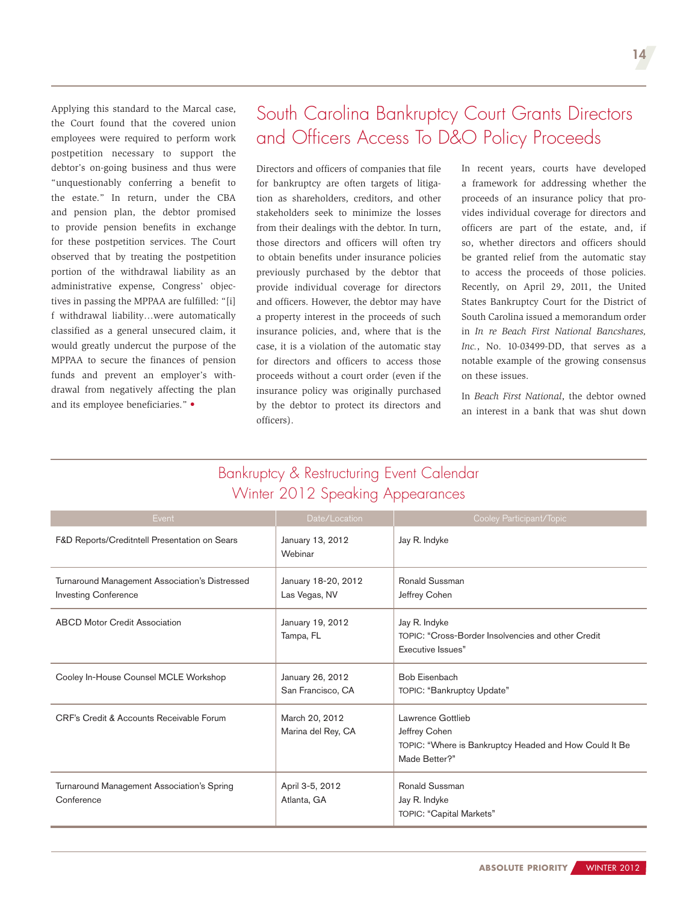<span id="page-13-0"></span>Applying this standard to the Marcal case, the Court found that the covered union employees were required to perform work postpetition necessary to support the debtor's on-going business and thus were "unquestionably conferring a benefit to the estate." In return, under the CBA and pension plan, the debtor promised to provide pension benefits in exchange for these postpetition services. The Court observed that by treating the postpetition portion of the withdrawal liability as an administrative expense, Congress' objectives in passing the MPPAA are fulfilled: "[i] f withdrawal liability…were automatically classified as a general unsecured claim, it would greatly undercut the purpose of the MPPAA to secure the finances of pension funds and prevent an employer's withdrawal from negatively affecting the plan and its employee beneficiaries." •

## South Carolina Bankruptcy Court Grants Directors and Officers Access To D&O Policy Proceeds

Directors and officers of companies that file for bankruptcy are often targets of litigation as shareholders, creditors, and other stakeholders seek to minimize the losses from their dealings with the debtor. In turn, those directors and officers will often try to obtain benefits under insurance policies previously purchased by the debtor that provide individual coverage for directors and officers. However, the debtor may have a property interest in the proceeds of such insurance policies, and, where that is the case, it is a violation of the automatic stay for directors and officers to access those proceeds without a court order (even if the insurance policy was originally purchased by the debtor to protect its directors and officers).

In recent years, courts have developed a framework for addressing whether the proceeds of an insurance policy that provides individual coverage for directors and officers are part of the estate, and, if so, whether directors and officers should be granted relief from the automatic stay to access the proceeds of those policies. Recently, on April 29, 2011, the United States Bankruptcy Court for the District of South Carolina issued a memorandum order in *In re Beach First National Bancshares, Inc.*, No. 10-03499-DD, that serves as a notable example of the growing consensus on these issues.

In *Beach First National*, the debtor owned an interest in a bank that was shut down

## Bankruptcy & Restructuring Event Calendar Winter 2012 Speaking Appearances

| Event                                                                         | Date/Location                         | Cooley Participant/Topic                                                                                      |
|-------------------------------------------------------------------------------|---------------------------------------|---------------------------------------------------------------------------------------------------------------|
| F&D Reports/Creditntell Presentation on Sears                                 | January 13, 2012<br>Webinar           | Jay R. Indyke                                                                                                 |
| Turnaround Management Association's Distressed<br><b>Investing Conference</b> | January 18-20, 2012<br>Las Vegas, NV  | Ronald Sussman<br>Jeffrey Cohen                                                                               |
| <b>ABCD Motor Credit Association</b>                                          | January 19, 2012<br>Tampa, FL         | Jay R. Indyke<br>TOPIC: "Cross-Border Insolvencies and other Credit<br>Executive Issues"                      |
| Cooley In-House Counsel MCLE Workshop                                         | January 26, 2012<br>San Francisco, CA | <b>Bob Eisenbach</b><br>TOPIC: "Bankruptcy Update"                                                            |
| CRF's Credit & Accounts Receivable Forum                                      | March 20, 2012<br>Marina del Rey, CA  | Lawrence Gottlieb<br>Jeffrey Cohen<br>TOPIC: "Where is Bankruptcy Headed and How Could It Be<br>Made Better?" |
| Turnaround Management Association's Spring<br>Conference                      | April 3-5, 2012<br>Atlanta, GA        | Ronald Sussman<br>Jay R. Indyke<br><b>TOPIC: "Capital Markets"</b>                                            |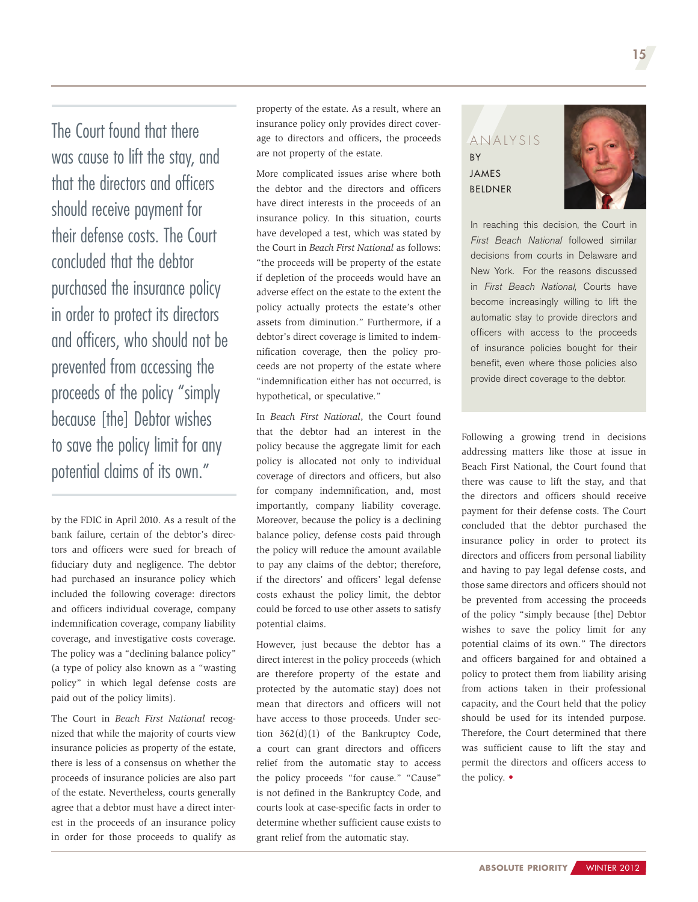The Court found that there was cause to lift the stay, and that the directors and officers should receive payment for their defense costs. The Court concluded that the debtor purchased the insurance policy in order to protect its directors and officers, who should not be prevented from accessing the proceeds of the policy "simply because [the] Debtor wishes to save the policy limit for any potential claims of its own."

by the FDIC in April 2010. As a result of the bank failure, certain of the debtor's directors and officers were sued for breach of fiduciary duty and negligence. The debtor had purchased an insurance policy which included the following coverage: directors and officers individual coverage, company indemnification coverage, company liability coverage, and investigative costs coverage. The policy was a "declining balance policy" (a type of policy also known as a "wasting policy" in which legal defense costs are paid out of the policy limits).

The Court in *Beach First National* recognized that while the majority of courts view insurance policies as property of the estate, there is less of a consensus on whether the proceeds of insurance policies are also part of the estate. Nevertheless, courts generally agree that a debtor must have a direct interest in the proceeds of an insurance policy in order for those proceeds to qualify as

property of the estate. As a result, where an insurance policy only provides direct coverage to directors and officers, the proceeds are not property of the estate.

More complicated issues arise where both the debtor and the directors and officers have direct interests in the proceeds of an insurance policy. In this situation, courts have developed a test, which was stated by the Court in *Beach First National* as follows: "the proceeds will be property of the estate if depletion of the proceeds would have an adverse effect on the estate to the extent the policy actually protects the estate's other assets from diminution." Furthermore, if a debtor's direct coverage is limited to indemnification coverage, then the policy proceeds are not property of the estate where "indemnification either has not occurred, is hypothetical, or speculative."

In *Beach First National*, the Court found that the debtor had an interest in the policy because the aggregate limit for each policy is allocated not only to individual coverage of directors and officers, but also for company indemnification, and, most importantly, company liability coverage. Moreover, because the policy is a declining balance policy, defense costs paid through the policy will reduce the amount available to pay any claims of the debtor; therefore, if the directors' and officers' legal defense costs exhaust the policy limit, the debtor could be forced to use other assets to satisfy potential claims.

However, just because the debtor has a direct interest in the policy proceeds (which are therefore property of the estate and protected by the automatic stay) does not mean that directors and officers will not have access to those proceeds. Under section 362(d)(1) of the Bankruptcy Code, a court can grant directors and officers relief from the automatic stay to access the policy proceeds "for cause." "Cause" is not defined in the Bankruptcy Code, and courts look at case-specific facts in order to determine whether sufficient cause exists to grant relief from the automatic stay.

### ANALYSIS **BY JAMES** [Beldner](http://www.cooley.com/jbeldner)



In reaching this decision, the Court in *First Beach National* followed similar decisions from courts in Delaware and New York. For the reasons discussed in *First Beach National,* Courts have become increasingly willing to lift the automatic stay to provide directors and officers with access to the proceeds of insurance policies bought for their benefit, even where those policies also provide direct coverage to the debtor.

Following a growing trend in decisions addressing matters like those at issue in Beach First National, the Court found that there was cause to lift the stay, and that the directors and officers should receive payment for their defense costs. The Court concluded that the debtor purchased the insurance policy in order to protect its directors and officers from personal liability and having to pay legal defense costs, and those same directors and officers should not be prevented from accessing the proceeds of the policy "simply because [the] Debtor wishes to save the policy limit for any potential claims of its own." The directors and officers bargained for and obtained a policy to protect them from liability arising from actions taken in their professional capacity, and the Court held that the policy should be used for its intended purpose. Therefore, the Court determined that there was sufficient cause to lift the stay and permit the directors and officers access to the policy. •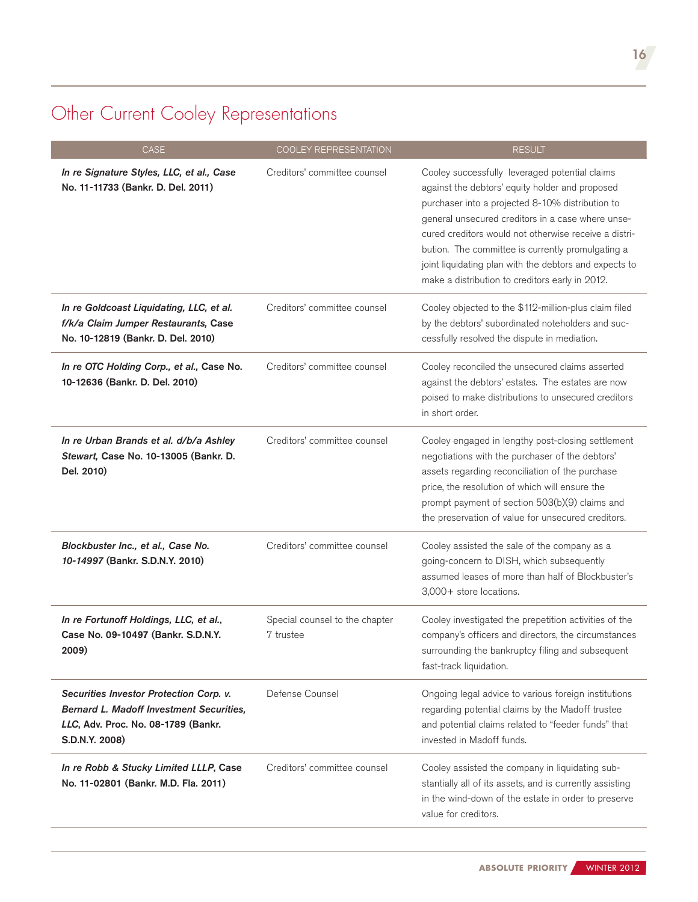## <span id="page-15-0"></span>Other Current Cooley Representations

| <b>CASE</b>                                                                                                                                         | <b>COOLEY REPRESENTATION</b>                | <b>RESULT</b>                                                                                                                                                                                                                                                                                                                                                                                                                         |
|-----------------------------------------------------------------------------------------------------------------------------------------------------|---------------------------------------------|---------------------------------------------------------------------------------------------------------------------------------------------------------------------------------------------------------------------------------------------------------------------------------------------------------------------------------------------------------------------------------------------------------------------------------------|
| In re Signature Styles, LLC, et al., Case<br>No. 11-11733 (Bankr. D. Del. 2011)                                                                     | Creditors' committee counsel                | Cooley successfully leveraged potential claims<br>against the debtors' equity holder and proposed<br>purchaser into a projected 8-10% distribution to<br>general unsecured creditors in a case where unse-<br>cured creditors would not otherwise receive a distri-<br>bution. The committee is currently promulgating a<br>joint liquidating plan with the debtors and expects to<br>make a distribution to creditors early in 2012. |
| In re Goldcoast Liquidating, LLC, et al.<br>f/k/a Claim Jumper Restaurants, Case<br>No. 10-12819 (Bankr. D. Del. 2010)                              | Creditors' committee counsel                | Cooley objected to the \$112-million-plus claim filed<br>by the debtors' subordinated noteholders and suc-<br>cessfully resolved the dispute in mediation.                                                                                                                                                                                                                                                                            |
| In re OTC Holding Corp., et al., Case No.<br>10-12636 (Bankr. D. Del. 2010)                                                                         | Creditors' committee counsel                | Cooley reconciled the unsecured claims asserted<br>against the debtors' estates. The estates are now<br>poised to make distributions to unsecured creditors<br>in short order.                                                                                                                                                                                                                                                        |
| In re Urban Brands et al. d/b/a Ashley<br>Stewart, Case No. 10-13005 (Bankr. D.<br>Del. 2010)                                                       | Creditors' committee counsel                | Cooley engaged in lengthy post-closing settlement<br>negotiations with the purchaser of the debtors'<br>assets regarding reconciliation of the purchase<br>price, the resolution of which will ensure the<br>prompt payment of section 503(b)(9) claims and<br>the preservation of value for unsecured creditors.                                                                                                                     |
| Blockbuster Inc., et al., Case No.<br>10-14997 (Bankr. S.D.N.Y. 2010)                                                                               | Creditors' committee counsel                | Cooley assisted the sale of the company as a<br>going-concern to DISH, which subsequently<br>assumed leases of more than half of Blockbuster's<br>3,000+ store locations.                                                                                                                                                                                                                                                             |
| In re Fortunoff Holdings, LLC, et al.,<br>Case No. 09-10497 (Bankr. S.D.N.Y.<br>2009)                                                               | Special counsel to the chapter<br>7 trustee | Cooley investigated the prepetition activities of the<br>company's officers and directors, the circumstances<br>surrounding the bankruptcy filing and subsequent<br>fast-track liquidation.                                                                                                                                                                                                                                           |
| Securities Investor Protection Corp. v.<br><b>Bernard L. Madoff Investment Securities.</b><br>LLC, Adv. Proc. No. 08-1789 (Bankr.<br>S.D.N.Y. 2008) | Defense Counsel                             | Ongoing legal advice to various foreign institutions<br>regarding potential claims by the Madoff trustee<br>and potential claims related to "feeder funds" that<br>invested in Madoff funds.                                                                                                                                                                                                                                          |
| In re Robb & Stucky Limited LLLP, Case<br>No. 11-02801 (Bankr. M.D. Fla. 2011)                                                                      | Creditors' committee counsel                | Cooley assisted the company in liquidating sub-<br>stantially all of its assets, and is currently assisting<br>in the wind-down of the estate in order to preserve<br>value for creditors.                                                                                                                                                                                                                                            |